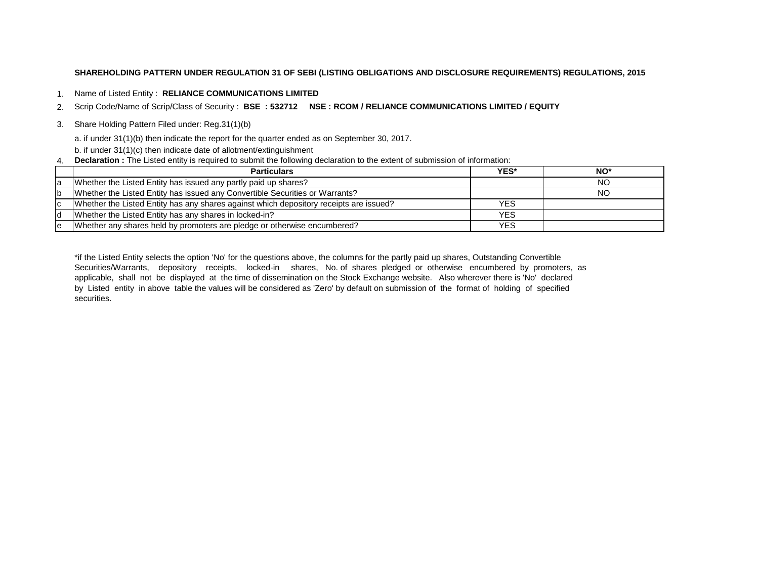# **SHAREHOLDING PATTERN UNDER REGULATION 31 OF SEBI (LISTING OBLIGATIONS AND DISCLOSURE REQUIREMENTS) REGULATIONS, 2015**

1. Name of Listed Entity : **RELIANCE COMMUNICATIONS LIMITED**

2. Scrip Code/Name of Scrip/Class of Security : **BSE : 532712 NSE : RCOM / RELIANCE COMMUNICATIONS LIMITED / EQUITY**

3. Share Holding Pattern Filed under: Reg.31(1)(b)

a. if under 31(1)(b) then indicate the report for the quarter ended as on September 30, 2017.

b. if under 31(1)(c) then indicate date of allotment/extinguishment

4. **Declaration :** The Listed entity is required to submit the following declaration to the extent of submission of information:

|    | <b>Particulars</b>                                                                     | YES*       | NO* |
|----|----------------------------------------------------------------------------------------|------------|-----|
| la | Whether the Listed Entity has issued any partly paid up shares?                        |            | NO  |
| Ib | Whether the Listed Entity has issued any Convertible Securities or Warrants?           |            | ΝO  |
| Ιc | Whether the Listed Entity has any shares against which depository receipts are issued? | YES.       |     |
| Id | Whether the Listed Entity has any shares in locked-in?                                 | <b>YES</b> |     |
| le | Whether any shares held by promoters are pledge or otherwise encumbered?               | YES.       |     |

\*if the Listed Entity selects the option 'No' for the questions above, the columns for the partly paid up shares, Outstanding Convertible Securities/Warrants, depository receipts, locked-in shares, No. of shares pledged or otherwise encumbered by promoters, as applicable, shall not be displayed at the time of dissemination on the Stock Exchange website. Also wherever there is 'No' declared by Listed entity in above table the values will be considered as 'Zero' by default on submission of the format of holding of specified securities.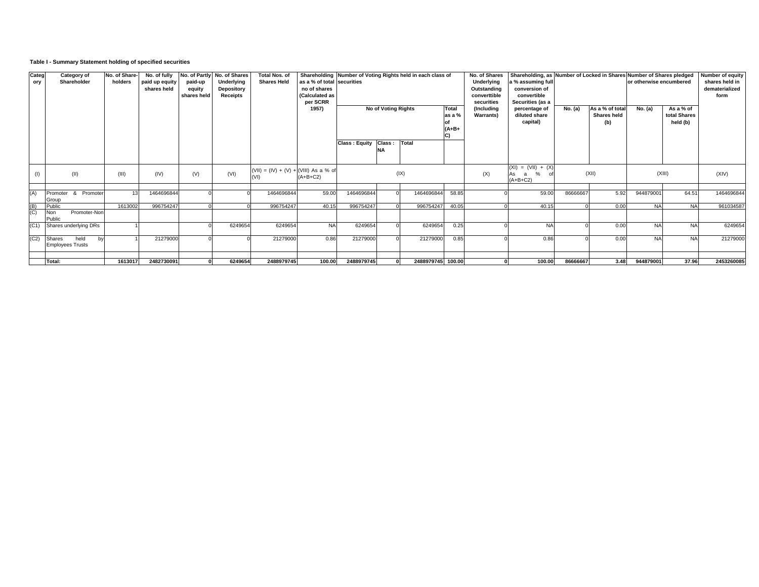# **Table I - Summary Statement holding of specified securities**

| Categ<br>ory | Category of<br>Shareholder                | No. of Share-<br>holders | No. of fully<br>paid up equity<br>shares held | paid-up<br>equity<br>shares held | No. of Partly No. of Shares<br>Underlying<br>Depository<br><b>Receipts</b> | Total Nos. of<br><b>Shares Held</b>             | as a % of total securities<br>no of shares<br>(Calculated as<br>per SCRR<br>1957) | Shareholding Number of Voting Rights held in each class of<br>No of Voting Rights<br><b>Total</b><br>as a %<br>$(A+B+$<br>C) |    |            | No. of Shares<br>Underlying<br>Outstanding<br>converttible<br>securities<br>(Includina<br><b>Warrants)</b> | Shareholding, as Number of Locked in Shares Number of Shares pledged<br>1% assuming full<br>conversion of<br>convertible<br>Securities (as a<br>percentage of<br>diluted share<br>capital) | No. (a)                                                       | As a % of total<br><b>Shares held</b><br>(b) | or otherwise encumbered<br>No. (a) | As a % of<br>total Shares<br>held (b) | <b>Number of equity</b><br>shares held in<br>dematerialized<br>form |            |
|--------------|-------------------------------------------|--------------------------|-----------------------------------------------|----------------------------------|----------------------------------------------------------------------------|-------------------------------------------------|-----------------------------------------------------------------------------------|------------------------------------------------------------------------------------------------------------------------------|----|------------|------------------------------------------------------------------------------------------------------------|--------------------------------------------------------------------------------------------------------------------------------------------------------------------------------------------|---------------------------------------------------------------|----------------------------------------------|------------------------------------|---------------------------------------|---------------------------------------------------------------------|------------|
|              |                                           |                          |                                               |                                  |                                                                            |                                                 |                                                                                   | Class: Equity Class:                                                                                                         | NΑ | Total      |                                                                                                            |                                                                                                                                                                                            |                                                               |                                              |                                    |                                       |                                                                     |            |
|              | (11)                                      | (III)                    | (IV)                                          | (V)                              | (VI)                                                                       | (VII) = $(IV) + (V) + (VIII)$ As a % of<br>(VI) | $(A+B+C2)$                                                                        |                                                                                                                              |    | (IX)       |                                                                                                            | (X)                                                                                                                                                                                        | $(XI) = (VII) + (X)$<br>As<br>%<br>$\mathbf{a}$<br>$(A+B+C2)$ |                                              | (XII)                              |                                       | (XIII)                                                              | (XIV)      |
| (A)          | Promoter<br>& Promoter<br>Group           | 13                       | 1464696844                                    |                                  |                                                                            | 1464696844                                      | 59.00                                                                             | 1464696844                                                                                                                   |    | 1464696844 | 58.85                                                                                                      |                                                                                                                                                                                            | 59.00                                                         | 86666667                                     | 5.92                               | 944879001                             | 64.51                                                               | 1464696844 |
| (B)          | Public                                    | 1613002                  | 996754247                                     |                                  |                                                                            | 996754247                                       | 40.15                                                                             | 996754247                                                                                                                    |    | 996754247  | 40.05                                                                                                      |                                                                                                                                                                                            | 40.15                                                         |                                              | 0.00                               | <b>NA</b>                             | <b>NA</b>                                                           | 961034587  |
| (C)          | Non<br>Promoter-Non<br>Public             |                          |                                               |                                  |                                                                            |                                                 |                                                                                   |                                                                                                                              |    |            |                                                                                                            |                                                                                                                                                                                            |                                                               |                                              |                                    |                                       |                                                                     |            |
| (C1)         | Shares underlying DRs                     |                          |                                               |                                  | 6249654                                                                    | 6249654                                         | <b>NA</b>                                                                         | 6249654                                                                                                                      |    | 6249654    | 0.25                                                                                                       |                                                                                                                                                                                            | <b>NA</b>                                                     |                                              | 0.00                               | <b>NA</b>                             | <b>NA</b>                                                           | 6249654    |
| (C2)         | held<br>Shares<br><b>Employees Trusts</b> |                          | 21279000                                      |                                  |                                                                            | 21279000                                        | 0.86                                                                              | 21279000                                                                                                                     |    | 21279000   | 0.85                                                                                                       |                                                                                                                                                                                            | 0.86                                                          |                                              | 0.00                               | <b>NA</b>                             | <b>NA</b>                                                           | 21279000   |
|              |                                           |                          |                                               |                                  |                                                                            |                                                 |                                                                                   |                                                                                                                              |    |            |                                                                                                            |                                                                                                                                                                                            |                                                               |                                              |                                    |                                       |                                                                     |            |
|              | Total:                                    | 1613017                  | 2482730091                                    |                                  | 6249654                                                                    | 2488979745                                      | 100.00                                                                            | 2488979745                                                                                                                   |    | 2488979745 | 100.00                                                                                                     |                                                                                                                                                                                            | 100.00                                                        | 86666667                                     | 3.48                               | 944879001                             | 37.96                                                               | 2453260085 |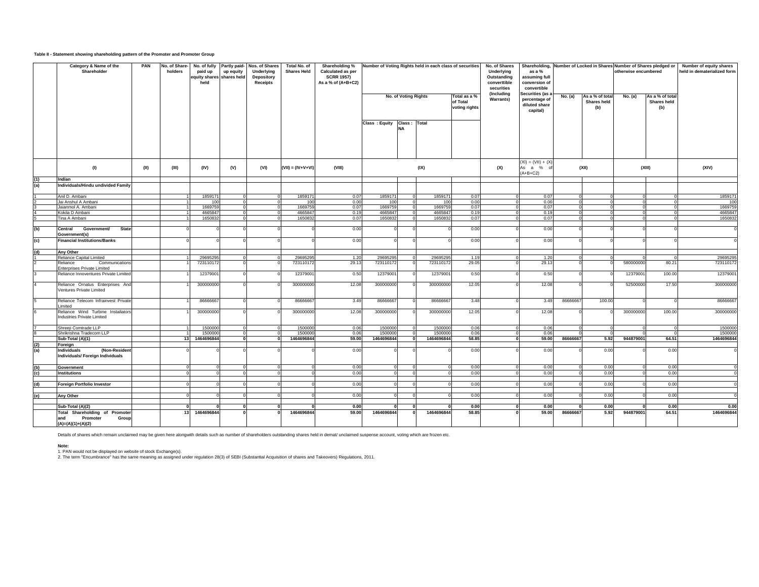#### **Table II - Statement showing shareholding pattern of the Promoter and Promoter Group**

|            | Category & Name of the<br>Shareholder                                                   | PAN  | No. of Share-<br>holders | No. of fully<br>paid up<br>equity shares shares held<br>held | up equity | Partly paid- Nos. of Shares<br>Underlying<br>Depository<br><b>Receipts</b> | Total No. of<br><b>Shares Held</b> | Shareholding %<br>Calculated as per<br><b>SCRR 1957)</b><br>As a % of (A+B+C2) | Number of Voting Rights held in each class of securities<br>Total as a % |                                                   |                      |       | No. of Shares<br>Underlying<br>Outstanding<br>converttible<br>securities<br>(Including | as a %<br>assuming full<br>conversion of<br>convertible<br>Securities (as |          |                                       | Shareholding, Number of Locked in Shares Number of Shares pledged or<br>otherwise encumbered |                                       | Number of equity shares<br>held in dematerialized form |       |
|------------|-----------------------------------------------------------------------------------------|------|--------------------------|--------------------------------------------------------------|-----------|----------------------------------------------------------------------------|------------------------------------|--------------------------------------------------------------------------------|--------------------------------------------------------------------------|---------------------------------------------------|----------------------|-------|----------------------------------------------------------------------------------------|---------------------------------------------------------------------------|----------|---------------------------------------|----------------------------------------------------------------------------------------------|---------------------------------------|--------------------------------------------------------|-------|
|            |                                                                                         |      |                          |                                                              |           |                                                                            |                                    |                                                                                |                                                                          | No. of Voting Rights<br>of Total<br>voting rights |                      |       | <b>Warrants)</b>                                                                       | percentage of<br>diluted share<br>capital)                                | No. (a)  | As a % of total<br>Shares held<br>(b) | No. (a)                                                                                      | As a % of total<br>Shares held<br>(b) |                                                        |       |
|            |                                                                                         |      |                          |                                                              |           |                                                                            |                                    |                                                                                | Class: Equity                                                            | Class: Total                                      |                      |       |                                                                                        |                                                                           |          |                                       |                                                                                              |                                       |                                                        |       |
|            | (1)                                                                                     | (II) | (III)                    | (IV)                                                         | (V)       | (VI)                                                                       | $(VII) = (IV+V+VI)$                | (VIII)                                                                         |                                                                          | (IX)                                              |                      |       |                                                                                        | $(XI) = (VII) + (X)$<br>(X)<br>As a %<br>$(A+B+C2)$                       |          | (XII)                                 |                                                                                              | (XIII)                                |                                                        | (XIV) |
| (1)<br>(a) | Indian<br>ndividuals/Hindu undivided Family                                             |      |                          |                                                              |           |                                                                            |                                    |                                                                                |                                                                          |                                                   |                      |       |                                                                                        |                                                                           |          |                                       |                                                                                              |                                       |                                                        |       |
|            |                                                                                         |      |                          |                                                              |           |                                                                            |                                    |                                                                                |                                                                          |                                                   |                      |       |                                                                                        |                                                                           |          |                                       |                                                                                              |                                       |                                                        |       |
|            | Anil D. Ambani                                                                          |      |                          | 1859171                                                      |           |                                                                            | 1859171                            | 0.07                                                                           | 1859171                                                                  |                                                   | 1859171              | 0.07  |                                                                                        | 0.07                                                                      |          |                                       |                                                                                              |                                       | 1859171                                                |       |
|            | Jai Anshul A Ambani                                                                     |      |                          | 100                                                          |           |                                                                            | 100                                | 0.00                                                                           | 100                                                                      |                                                   | 100                  | 0.00  |                                                                                        | 0.00                                                                      |          |                                       |                                                                                              |                                       | 100                                                    |       |
|            | Jaianmol A. Ambani                                                                      |      |                          | 1669759                                                      |           |                                                                            | 1669759                            | 0.07                                                                           | 1669759                                                                  |                                                   | 1669759              | 0.07  |                                                                                        | 0.07                                                                      |          |                                       |                                                                                              |                                       | 1669759                                                |       |
|            | Kokila D Ambani                                                                         |      |                          | 4665847                                                      |           |                                                                            | 4665847                            | 0.19                                                                           | 4665847                                                                  |                                                   | 4665847              | 0.19  |                                                                                        | 0.19                                                                      |          |                                       |                                                                                              |                                       | 4665847                                                |       |
|            | Tina A Ambani                                                                           |      |                          | 1650832                                                      |           |                                                                            | 1650832                            | 0.07                                                                           | 1650832                                                                  |                                                   | 1650832              | 0.07  |                                                                                        | 0.07                                                                      |          |                                       |                                                                                              |                                       | 1650832                                                |       |
| (b)        | <b>State</b><br>Government/<br>Central<br>Government(s)                                 |      |                          |                                                              |           |                                                                            |                                    | 0.00                                                                           |                                                                          |                                                   |                      | 0.00  |                                                                                        | 0.00                                                                      |          |                                       |                                                                                              |                                       |                                                        |       |
| (c)        | <b>Financial Institutions/Banks</b>                                                     |      |                          |                                                              |           |                                                                            |                                    | 0.00                                                                           |                                                                          |                                                   |                      | 0.00  |                                                                                        | 0.00                                                                      |          |                                       |                                                                                              |                                       |                                                        |       |
| (d)        | Any Other                                                                               |      |                          |                                                              |           |                                                                            |                                    |                                                                                |                                                                          |                                                   |                      |       |                                                                                        |                                                                           |          |                                       |                                                                                              |                                       |                                                        |       |
|            | Reliance Capital Limited                                                                |      |                          | 2969529                                                      |           |                                                                            | 2969529                            | 1.20                                                                           | 2969529                                                                  |                                                   | 2969529              | 1.19  |                                                                                        | 1.20                                                                      |          |                                       |                                                                                              |                                       | 29695295                                               |       |
|            | Reliance<br>Communications<br>Interprises Private Limited                               |      |                          | 723110172                                                    |           |                                                                            | 723110172                          | 29.13                                                                          | 723110172                                                                |                                                   | 723110172            | 29.05 |                                                                                        | 29.13                                                                     |          |                                       | 580000000                                                                                    | 80.21                                 | 723110172                                              |       |
|            | Reliance Innoventures Private Limited                                                   |      |                          | 12379001                                                     |           |                                                                            | 1237900                            | 0.50                                                                           | 12379001                                                                 |                                                   | 12379001             | 0.50  |                                                                                        | 0.50                                                                      |          |                                       | 1237900                                                                                      | 100.00                                | 12379001                                               |       |
|            | Reliance Ornatus Enterprises And<br>Ventures Private Limited                            |      |                          | 300000000                                                    |           |                                                                            | 300000000                          | 12.08                                                                          | 300000000                                                                |                                                   | 300000000            | 12.05 |                                                                                        | 12.08                                                                     |          |                                       | 52500000                                                                                     | 17.50                                 | 300000000                                              |       |
|            | Reliance Telecom Infrainvest Private<br>.imited                                         |      |                          | 86666667                                                     |           |                                                                            | 86666667                           | 3.49                                                                           | 86666667                                                                 |                                                   | 86666667             | 3.48  |                                                                                        | 3.49                                                                      | 86666667 | 100.00                                |                                                                                              |                                       | 86666667                                               |       |
|            | Reliance Wind Turbine Installators<br><b>Industries Private Limited</b>                 |      |                          | 300000000                                                    |           |                                                                            | 300000000                          | 12.08                                                                          | 300000000                                                                |                                                   | 300000000            | 12.05 |                                                                                        | 12.08                                                                     |          |                                       | 300000000                                                                                    | 100.00                                | 300000000                                              |       |
|            | Shreeji Comtrade LLP                                                                    |      |                          | 1500000                                                      |           |                                                                            | 1500000                            | 0.06                                                                           | 1500000                                                                  |                                                   | 1500000              | 0.06  |                                                                                        | 0.06                                                                      |          |                                       |                                                                                              |                                       | 1500000                                                |       |
|            | Shrikrishna Tradecom LLP                                                                |      |                          | 1500000                                                      |           |                                                                            | 1500000                            | 0.06                                                                           | 1500000                                                                  |                                                   | 1500000              | 0.06  |                                                                                        | 0.06                                                                      |          | $\Omega$                              |                                                                                              |                                       | 1500000                                                |       |
|            | Sub-Total (A)(1)                                                                        |      | 13                       | 1464696844                                                   |           |                                                                            | 1464696844                         | 59.00                                                                          | 1464696844                                                               |                                                   | 1464696844           | 58.85 |                                                                                        | 59.00                                                                     | 86666667 | 5.92                                  | 944879001                                                                                    | 64.51                                 | 1464696844                                             |       |
| (2)        | Foreign                                                                                 |      |                          |                                                              |           |                                                                            |                                    |                                                                                |                                                                          |                                                   |                      |       |                                                                                        |                                                                           |          |                                       |                                                                                              |                                       |                                                        |       |
| (a)        | Individuals<br>(Non-Residen<br>Individuals/ Foreign Individuals                         |      |                          |                                                              |           |                                                                            |                                    | 0.00                                                                           |                                                                          |                                                   |                      | 0.00  |                                                                                        | 0.00                                                                      |          | 0.00                                  |                                                                                              | 0.00                                  |                                                        |       |
| (b)        | Government                                                                              |      |                          |                                                              |           |                                                                            |                                    | 0.00                                                                           |                                                                          |                                                   |                      | 0.00  |                                                                                        | 0.00                                                                      |          | 0.00                                  |                                                                                              | 0.00                                  |                                                        |       |
| (c)        | <b>Institutions</b>                                                                     |      |                          |                                                              |           |                                                                            |                                    | 0.00                                                                           |                                                                          |                                                   |                      | 0.00  |                                                                                        | 0.00                                                                      |          | 0.00                                  |                                                                                              | 0.00                                  |                                                        |       |
|            |                                                                                         |      |                          |                                                              |           |                                                                            |                                    |                                                                                |                                                                          |                                                   |                      |       |                                                                                        |                                                                           |          |                                       |                                                                                              |                                       |                                                        |       |
| (d)        | Foreign Portfolio Investor                                                              |      |                          |                                                              |           |                                                                            |                                    | 0.00                                                                           |                                                                          |                                                   |                      | 0.00  |                                                                                        | 0.00                                                                      |          | 0.00                                  |                                                                                              | 0.00                                  | - 0                                                    |       |
| (e)        | Any Other                                                                               |      |                          |                                                              |           |                                                                            |                                    | 0.00                                                                           |                                                                          |                                                   |                      | 0.00  |                                                                                        | 0.00                                                                      |          | 0.00                                  |                                                                                              | 0.00                                  | $\Omega$                                               |       |
|            |                                                                                         |      |                          |                                                              |           |                                                                            |                                    |                                                                                |                                                                          |                                                   |                      |       |                                                                                        |                                                                           |          |                                       |                                                                                              |                                       |                                                        |       |
|            | Sub-Total (A)(2)                                                                        |      | $\Omega$                 |                                                              | $\Omega$  |                                                                            |                                    | 0.00                                                                           | n                                                                        |                                                   | $\Omega$<br>$\Omega$ | 0.00  |                                                                                        | 0.00                                                                      |          | 0.00                                  |                                                                                              | 0.00                                  | 0.00                                                   |       |
|            | <b>Total Shareholding of Promote</b><br>Promoter<br>Group<br>and<br>$(A)=(A)(1)+(A)(2)$ |      | 13                       | 1464696844                                                   |           |                                                                            | 1464696844                         | 59.00                                                                          | 1464696844                                                               |                                                   | 1464696844           | 58.85 |                                                                                        | 59.00                                                                     | 86666667 | 5.92                                  | 944879001                                                                                    | 64.51                                 | 1464696844                                             |       |

Details of shares which remain unclaimed may be given here alongwith details such as number of shareholders outstanding shares held in demat/ unclaimed suspense account, voting which are frozen etc.

#### **Note:**

1. PAN would not be displayed on website of stock Exchange(s).<br>2. The term "Encumbrance" has the same meaning as assigned under regulation 28(3) of SEBI (Substantial Acquisition of shares and Takeovers) Regulations, 2011.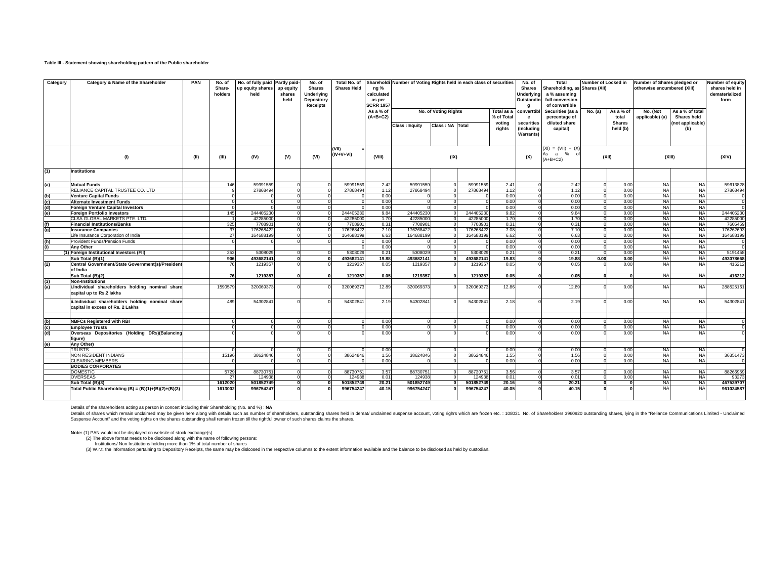### **Table III - Statement showing shareholding pattern of the Public shareholder**

| Category          | Category & Name of the Shareholder                                                   | PAN  | No. of<br>Share-<br>holders | No. of fully paid Partly paid-<br>up equity shares<br>held | up equity<br>shares<br>held | No. of<br><b>Shares</b><br><b>Underlying</b><br>Depository<br><b>Receipts</b> | Total No. of<br><b>Shares Held</b> | ng %<br>calculated<br>as per<br><b>SCRR 1957</b> | Shareholdi Number of Voting Rights held in each class of securities |                      |           |                          |                                | <b>Total</b><br><b>Jnderlying</b><br>a % assuming<br>full conversion<br>of convertible | Number of Locked in<br>Shareholding, as Shares (XII) |                    |                             | Number of Shares pledged or<br>otherwise encumbered (XIII) |           |  |
|-------------------|--------------------------------------------------------------------------------------|------|-----------------------------|------------------------------------------------------------|-----------------------------|-------------------------------------------------------------------------------|------------------------------------|--------------------------------------------------|---------------------------------------------------------------------|----------------------|-----------|--------------------------|--------------------------------|----------------------------------------------------------------------------------------|------------------------------------------------------|--------------------|-----------------------------|------------------------------------------------------------|-----------|--|
|                   |                                                                                      |      |                             |                                                            |                             |                                                                               |                                    | As a % of<br>$(A+B+C2)$                          |                                                                     | No. of Voting Rights |           | Total as a<br>% of Total | :onverttibl<br>e               | Securities (as a<br>percentage of                                                      | No. (a)                                              | As a % of<br>total | No. (Not<br>applicable) (a) | As a % of total<br><b>Shares held</b>                      |           |  |
|                   |                                                                                      |      |                             |                                                            |                             |                                                                               |                                    |                                                  | <b>Class: Equity</b>                                                | Class: NA Total      |           | votina                   | securities                     | diluted share                                                                          |                                                      | <b>Shares</b>      |                             | (not applicable)                                           |           |  |
|                   |                                                                                      |      |                             |                                                            |                             |                                                                               |                                    |                                                  |                                                                     |                      |           | rights                   | (Including<br><b>Warrants)</b> | capital)                                                                               |                                                      | held (b)           |                             | (b)                                                        |           |  |
|                   | (1)                                                                                  | (II) | (III)                       | (IV)                                                       | (V)                         | (VI)                                                                          | (VII)<br>(IV+V+VI)                 | (VIII)                                           |                                                                     | (IX)                 |           |                          | (X)                            | $(XI) = (VII) + (X)$<br>As a<br>% of<br>$(A+B+C2)$                                     |                                                      | (XII)              | (XIII)                      |                                                            | (XIV)     |  |
| (1)               | <b>Institutions</b>                                                                  |      |                             |                                                            |                             |                                                                               |                                    |                                                  |                                                                     |                      |           |                          |                                |                                                                                        |                                                      |                    |                             |                                                            |           |  |
| (a)               | <b>Mutual Funds</b>                                                                  |      | 146                         | 59991559                                                   |                             |                                                                               | 5999155                            | 2.42                                             | 59991559                                                            |                      | 5999155   | 2.41                     |                                | 2.42                                                                                   |                                                      | 0.00               | <b>NA</b>                   | <b>NA</b>                                                  | 59613828  |  |
|                   | RELIANCE CAPITAL TRUSTEE CO. LTD                                                     |      |                             | 27868494                                                   |                             |                                                                               | 27868494                           | 1.12                                             | 27868494                                                            |                      | 27868494  | 1.12                     |                                | 1.12                                                                                   |                                                      | 0.00               | <b>NA</b>                   | <b>NA</b>                                                  | 27868494  |  |
| <u>ම ප</u>        | <b>Venture Capital Funds</b>                                                         |      |                             |                                                            |                             |                                                                               |                                    | 0.00                                             |                                                                     |                      |           | 0.00                     |                                | 0.00                                                                                   |                                                      | 0.00               | <b>NA</b>                   | <b>NA</b>                                                  |           |  |
|                   | <b>Alternate Investment Funds</b>                                                    |      |                             |                                                            |                             |                                                                               |                                    | 0.00                                             |                                                                     |                      |           | 0.00                     |                                | 0.00                                                                                   |                                                      | 0.00               | <b>NA</b>                   | <b>NA</b>                                                  |           |  |
|                   | <b>Foreign Venture Capital Investors</b>                                             |      |                             |                                                            |                             |                                                                               |                                    | 0.00                                             |                                                                     |                      |           | 0.0                      |                                | 0.00                                                                                   |                                                      | 0.00               | <b>NA</b>                   | <b>NA</b>                                                  |           |  |
|                   | <b>Foreign Portfolio Investors</b>                                                   |      | 145                         | 244405230                                                  |                             |                                                                               | 24440523                           | 9.84                                             | 244405230                                                           |                      | 24440523  | 9.82                     |                                | 9.84                                                                                   |                                                      | 0.00               | <b>NA</b>                   | <b>NA</b>                                                  | 244405230 |  |
|                   | CLSA GLOBAL MARKETS PTE. LTD.                                                        |      |                             | 4228500                                                    |                             |                                                                               | 4228500                            | 1.70                                             | 4228500                                                             |                      | 4228500   | 1.70                     |                                | 1.70                                                                                   |                                                      | 0.00               | <b>NA</b>                   | <b>NA</b>                                                  | 4228500   |  |
| (f)<br>(g)        | <b>Financial Institutions/Banks</b>                                                  |      | 325                         | 770890                                                     |                             |                                                                               | 770890                             | 0.31                                             | 770890                                                              |                      | 770890    | 0.31                     |                                | 0.31                                                                                   |                                                      | 0.00               | <b>NA</b>                   | <b>NA</b>                                                  | 7605459   |  |
|                   | <b>Insurance Companies</b>                                                           |      | 37                          | 176268422                                                  |                             |                                                                               | 17626842                           | 7.10                                             | 176268422                                                           |                      | 17626842  | 7.08                     | $\Omega$                       | 7.10                                                                                   |                                                      | 0.00               | <b>NA</b>                   | <b>NA</b>                                                  | 176262693 |  |
|                   | Life Insurance Corporation of India                                                  |      | 27                          | 16468819                                                   |                             |                                                                               | 16468819                           | 6.63                                             | 164688199                                                           |                      | 16468819  | 6.62                     |                                | 6.63                                                                                   |                                                      | 0.00               | <b>NA</b>                   | <b>NA</b>                                                  | 16468819  |  |
| (h)<br>(i)        | Provident Funds/Pension Funds                                                        |      |                             |                                                            |                             |                                                                               |                                    | 0.00                                             |                                                                     |                      |           | 0.00                     |                                | 0.00                                                                                   |                                                      | 0.00               | <b>NA</b>                   | <b>NA</b>                                                  |           |  |
|                   | <b>Anv Other</b>                                                                     |      |                             |                                                            |                             |                                                                               |                                    | 0.00                                             |                                                                     |                      |           | 0.00                     |                                | 0.00                                                                                   |                                                      | 0.00               | <b>NA</b>                   | <b>NA</b>                                                  |           |  |
|                   | (1) Foreign Institutional Investors (FII)                                            |      | 253                         | 530802                                                     |                             |                                                                               | 530802                             | 0.21                                             | 5308029                                                             |                      | 530802    | 0.21                     |                                | 0.21                                                                                   |                                                      | 0.00               | <b>NA</b>                   | <b>NA</b>                                                  | 5191458   |  |
|                   | Sub Total (B)(1)                                                                     |      | 906                         | 493682141                                                  |                             |                                                                               | 493682141                          | 19.88                                            | 493682141                                                           |                      | 493682141 | 19.83                    |                                | 19.88                                                                                  | 0.00                                                 | 0.00               | <b>NA</b>                   | <b>NA</b>                                                  | 493078668 |  |
| (2)               | Central Government/State Government(s)/President<br>of India                         |      | 76                          | 1219357                                                    |                             |                                                                               | 121935                             | 0.05                                             | 1219357                                                             |                      | 1219357   | 0.05                     |                                | 0.05                                                                                   |                                                      | 0.00               | <b>NA</b>                   | <b>NA</b>                                                  | 416212    |  |
|                   | Sub Total (B)(2)                                                                     |      | 76                          | 1219357                                                    |                             |                                                                               | 1219357                            | 0.05                                             | 1219357                                                             |                      | 1219357   | 0.05                     |                                | 0.05                                                                                   |                                                      |                    | <b>NA</b>                   | <b>NA</b>                                                  | 416212    |  |
|                   | <b>Non-Institutions</b>                                                              |      |                             |                                                            |                             |                                                                               |                                    |                                                  |                                                                     |                      |           |                          |                                |                                                                                        |                                                      |                    |                             |                                                            |           |  |
| $\frac{(3)}{(a)}$ | i.Individual shareholders holding nominal share<br>capital up to Rs.2 lakhs          |      | 1590579                     | 320069373                                                  |                             |                                                                               | 32006937                           | 12.89                                            | 320069373                                                           |                      | 32006937  | 12.86                    |                                | 12.89                                                                                  |                                                      | 0.00               | <b>NA</b>                   | <b>NA</b>                                                  | 288525161 |  |
|                   | ii.Individual shareholders holding nominal share<br>capital in excess of Rs. 2 Lakhs |      | 489                         | 54302841                                                   |                             |                                                                               | 5430284                            | 2.19                                             | 54302841                                                            |                      | 5430284   | 2.18                     |                                | 2.19                                                                                   |                                                      | 0.00               | <b>NA</b>                   | <b>NA</b>                                                  | 54302841  |  |
|                   | <b>NBFCs Registered with RBI</b>                                                     |      |                             |                                                            |                             |                                                                               |                                    | 0.00                                             |                                                                     |                      |           | 0.00                     |                                | 0.00                                                                                   |                                                      | 0.00               | <b>NA</b>                   | <b>NA</b>                                                  |           |  |
|                   | <b>Employee Trusts</b>                                                               |      |                             |                                                            |                             |                                                                               |                                    | 0.00                                             |                                                                     |                      |           | 0.00                     |                                | 0.00                                                                                   |                                                      | 0.00               | <b>NA</b>                   | <b>NA</b>                                                  |           |  |
| (c)<br>(C)        | Overseas Depositories (Holding DRs)(Balancing                                        |      |                             |                                                            |                             |                                                                               |                                    | 0.00                                             |                                                                     |                      |           | 0.0                      |                                | 0.00                                                                                   |                                                      | 0.00               | <b>NA</b>                   | <b>NA</b>                                                  |           |  |
|                   | figure)                                                                              |      |                             |                                                            |                             |                                                                               |                                    |                                                  |                                                                     |                      |           |                          |                                |                                                                                        |                                                      |                    |                             |                                                            |           |  |
| (e)               | Anv Other)                                                                           |      |                             |                                                            |                             |                                                                               |                                    |                                                  |                                                                     |                      |           |                          |                                |                                                                                        |                                                      |                    |                             |                                                            |           |  |
|                   | <b>TRUSTS</b>                                                                        |      |                             |                                                            |                             |                                                                               |                                    | 0.00                                             |                                                                     |                      |           | 0.00                     |                                | 0.00                                                                                   |                                                      | 0.00               | <b>NA</b>                   | <b>NA</b>                                                  |           |  |
|                   | <b>VON RESIDENT INDIANS</b><br><b>CLEARING MEMBERS</b>                               |      | 15196                       | 38624846                                                   |                             |                                                                               | 38624846                           | 1.56<br>0.00                                     | 38624846                                                            | $\Omega$             | 38624846  | 1.55<br>0.00             | $\Omega$                       | 1.56                                                                                   |                                                      | 0.00<br>0.00       | <b>NA</b><br><b>NA</b>      | <b>NA</b><br><b>NA</b>                                     | 36351473  |  |
|                   | <b>BODIES CORPORATES</b>                                                             |      |                             |                                                            |                             |                                                                               |                                    |                                                  |                                                                     |                      |           |                          |                                | 0.00                                                                                   |                                                      |                    |                             |                                                            |           |  |
|                   | <b>DOMESTIC</b>                                                                      |      | 5729                        | 88730751                                                   |                             |                                                                               | 8873075                            | 3.57                                             | 88730751                                                            |                      | 8873075   | 3.56                     |                                | 3.57                                                                                   |                                                      | 0.00               | <b>NA</b>                   | <b>NA</b>                                                  | 88266959  |  |
|                   | <b>OVERSEAS</b>                                                                      |      |                             | 124938                                                     |                             |                                                                               | 124938                             | 0.01                                             | 124938                                                              |                      | 12493     | 0.01                     |                                | 0.01                                                                                   |                                                      | 0.00               | <b>NA</b>                   | <b>NA</b>                                                  | 93273     |  |
|                   | Sub Total (B)(3)                                                                     |      | 1612020                     | 501852749                                                  |                             |                                                                               | 501852749                          | 20.21                                            | 501852749                                                           |                      | 501852749 | 20.16                    |                                | 20.21                                                                                  |                                                      |                    | <b>NA</b>                   | <b>NA</b>                                                  | 467539707 |  |
|                   | Total Public Shareholding (B) = $(B)(1)+(B)(2)+(B)(3)$                               |      | 1613002                     | 996754247                                                  |                             |                                                                               | 996754247                          | 40.15                                            | 996754247                                                           |                      | 996754247 | 40.05                    |                                | 40.15                                                                                  |                                                      |                    | <b>NA</b>                   | <b>NA</b>                                                  | 961034587 |  |

Details of the shareholders acting as person in concert including their Shareholding (No. and %) : **NA**

Details of shares which remain unclaimed may be given here along with details such as number of shareholders, outstanding shares held in dennal/ unclaimed suspense account, voting rights which are frozen etc. ∴ 108031 No.

Note: (1) PAN would not be displayed on website of stock exchange(s)<br>(2) The above format needs to be disclosed along with the name of following persons:<br>Institutions/ Non Institutions holding more than 1% of total number